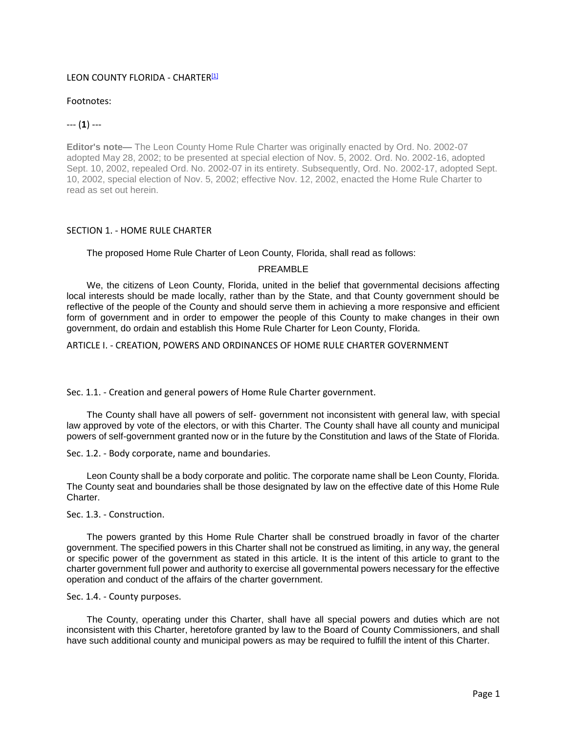## LEON COUNTY FLORIDA - CHARTER<sup>[1]</sup>

## Footnotes:

# --- (**1**) ---

**Editor's note—** The Leon County Home Rule Charter was originally enacted by Ord. No. 2002-07 adopted May 28, 2002; to be presented at special election of Nov. 5, 2002. Ord. No. 2002-16, adopted Sept. 10, 2002, repealed Ord. No. 2002-07 in its entirety. Subsequently, Ord. No. 2002-17, adopted Sept. 10, 2002, special election of Nov. 5, 2002; effective Nov. 12, 2002, enacted the Home Rule Charter to read as set out herein.

# SECTION 1. - HOME RULE CHARTER

The proposed Home Rule Charter of Leon County, Florida, shall read as follows:

# PREAMBLE

We, the citizens of Leon County, Florida, united in the belief that governmental decisions affecting local interests should be made locally, rather than by the State, and that County government should be reflective of the people of the County and should serve them in achieving a more responsive and efficient form of government and in order to empower the people of this County to make changes in their own government, do ordain and establish this Home Rule Charter for Leon County, Florida.

ARTICLE I. - CREATION, POWERS AND ORDINANCES OF HOME RULE CHARTER GOVERNMENT

Sec. 1.1. - Creation and general powers of Home Rule Charter government.

The County shall have all powers of self- government not inconsistent with general law, with special law approved by vote of the electors, or with this Charter. The County shall have all county and municipal powers of self-government granted now or in the future by the Constitution and laws of the State of Florida.

Sec. 1.2. - Body corporate, name and boundaries.

Leon County shall be a body corporate and politic. The corporate name shall be Leon County, Florida. The County seat and boundaries shall be those designated by law on the effective date of this Home Rule Charter.

Sec. 1.3. - Construction.

The powers granted by this Home Rule Charter shall be construed broadly in favor of the charter government. The specified powers in this Charter shall not be construed as limiting, in any way, the general or specific power of the government as stated in this article. It is the intent of this article to grant to the charter government full power and authority to exercise all governmental powers necessary for the effective operation and conduct of the affairs of the charter government.

# Sec. 1.4. - County purposes.

The County, operating under this Charter, shall have all special powers and duties which are not inconsistent with this Charter, heretofore granted by law to the Board of County Commissioners, and shall have such additional county and municipal powers as may be required to fulfill the intent of this Charter.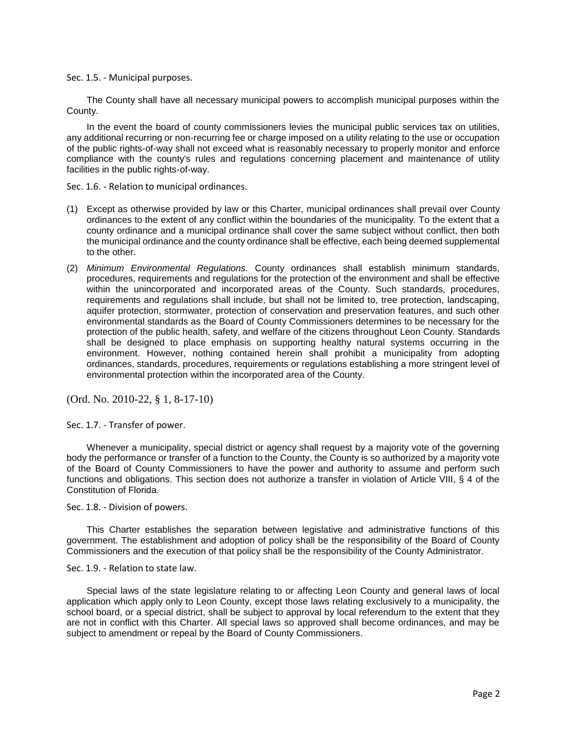Sec. 1.5. - Municipal purposes.

The County shall have all necessary municipal powers to accomplish municipal purposes within the County.

In the event the board of county commissioners levies the municipal public services tax on utilities, any additional recurring or non-recurring fee or charge imposed on a utility relating to the use or occupation of the public rights-of-way shall not exceed what is reasonably necessary to properly monitor and enforce compliance with the county's rules and regulations concerning placement and maintenance of utility facilities in the public rights-of-way.

Sec. 1.6. - Relation to municipal ordinances.

- (1) Except as otherwise provided by law or this Charter, municipal ordinances shall prevail over County ordinances to the extent of any conflict within the boundaries of the municipality. To the extent that a county ordinance and a municipal ordinance shall cover the same subject without conflict, then both the municipal ordinance and the county ordinance shall be effective, each being deemed supplemental to the other.
- (2) *Minimum Environmental Regulations.* County ordinances shall establish minimum standards, procedures, requirements and regulations for the protection of the environment and shall be effective within the unincorporated and incorporated areas of the County. Such standards, procedures, requirements and regulations shall include, but shall not be limited to, tree protection, landscaping, aquifer protection, stormwater, protection of conservation and preservation features, and such other environmental standards as the Board of County Commissioners determines to be necessary for the protection of the public health, safety, and welfare of the citizens throughout Leon County. Standards shall be designed to place emphasis on supporting healthy natural systems occurring in the environment. However, nothing contained herein shall prohibit a municipality from adopting ordinances, standards, procedures, requirements or regulations establishing a more stringent level of environmental protection within the incorporated area of the County.

(Ord. No. 2010-22, § 1, 8-17-10)

Sec. 1.7. - Transfer of power.

Whenever a municipality, special district or agency shall request by a majority vote of the governing body the performance or transfer of a function to the County, the County is so authorized by a majority vote of the Board of County Commissioners to have the power and authority to assume and perform such functions and obligations. This section does not authorize a transfer in violation of Article VIII, § 4 of the Constitution of Florida.

Sec. 1.8. - Division of powers.

This Charter establishes the separation between legislative and administrative functions of this government. The establishment and adoption of policy shall be the responsibility of the Board of County Commissioners and the execution of that policy shall be the responsibility of the County Administrator.

Sec. 1.9. - Relation to state law.

Special laws of the state legislature relating to or affecting Leon County and general laws of local application which apply only to Leon County, except those laws relating exclusively to a municipality, the school board, or a special district, shall be subject to approval by local referendum to the extent that they are not in conflict with this Charter. All special laws so approved shall become ordinances, and may be subject to amendment or repeal by the Board of County Commissioners.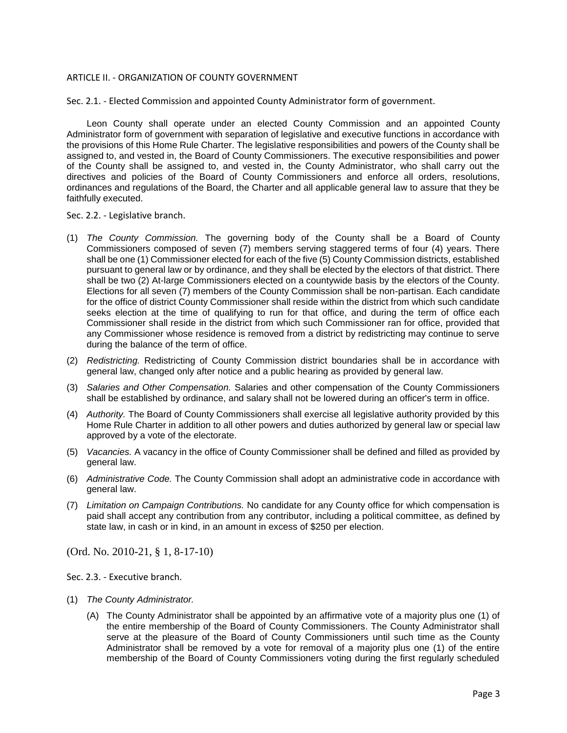## ARTICLE II. - ORGANIZATION OF COUNTY GOVERNMENT

Sec. 2.1. - Elected Commission and appointed County Administrator form of government.

Leon County shall operate under an elected County Commission and an appointed County Administrator form of government with separation of legislative and executive functions in accordance with the provisions of this Home Rule Charter. The legislative responsibilities and powers of the County shall be assigned to, and vested in, the Board of County Commissioners. The executive responsibilities and power of the County shall be assigned to, and vested in, the County Administrator, who shall carry out the directives and policies of the Board of County Commissioners and enforce all orders, resolutions, ordinances and regulations of the Board, the Charter and all applicable general law to assure that they be faithfully executed.

Sec. 2.2. - Legislative branch.

- (1) *The County Commission.* The governing body of the County shall be a Board of County Commissioners composed of seven (7) members serving staggered terms of four (4) years. There shall be one (1) Commissioner elected for each of the five (5) County Commission districts, established pursuant to general law or by ordinance, and they shall be elected by the electors of that district. There shall be two (2) At-large Commissioners elected on a countywide basis by the electors of the County. Elections for all seven (7) members of the County Commission shall be non-partisan. Each candidate for the office of district County Commissioner shall reside within the district from which such candidate seeks election at the time of qualifying to run for that office, and during the term of office each Commissioner shall reside in the district from which such Commissioner ran for office, provided that any Commissioner whose residence is removed from a district by redistricting may continue to serve during the balance of the term of office.
- (2) *Redistricting.* Redistricting of County Commission district boundaries shall be in accordance with general law, changed only after notice and a public hearing as provided by general law.
- (3) *Salaries and Other Compensation.* Salaries and other compensation of the County Commissioners shall be established by ordinance, and salary shall not be lowered during an officer's term in office.
- (4) *Authority.* The Board of County Commissioners shall exercise all legislative authority provided by this Home Rule Charter in addition to all other powers and duties authorized by general law or special law approved by a vote of the electorate.
- (5) *Vacancies.* A vacancy in the office of County Commissioner shall be defined and filled as provided by general law.
- (6) *Administrative Code.* The County Commission shall adopt an administrative code in accordance with general law.
- (7) *Limitation on Campaign Contributions.* No candidate for any County office for which compensation is paid shall accept any contribution from any contributor, including a political committee, as defined by state law, in cash or in kind, in an amount in excess of \$250 per election.

(Ord. No. 2010-21, § 1, 8-17-10)

Sec. 2.3. - Executive branch.

- (1) *The County Administrator.*
	- (A) The County Administrator shall be appointed by an affirmative vote of a majority plus one (1) of the entire membership of the Board of County Commissioners. The County Administrator shall serve at the pleasure of the Board of County Commissioners until such time as the County Administrator shall be removed by a vote for removal of a majority plus one (1) of the entire membership of the Board of County Commissioners voting during the first regularly scheduled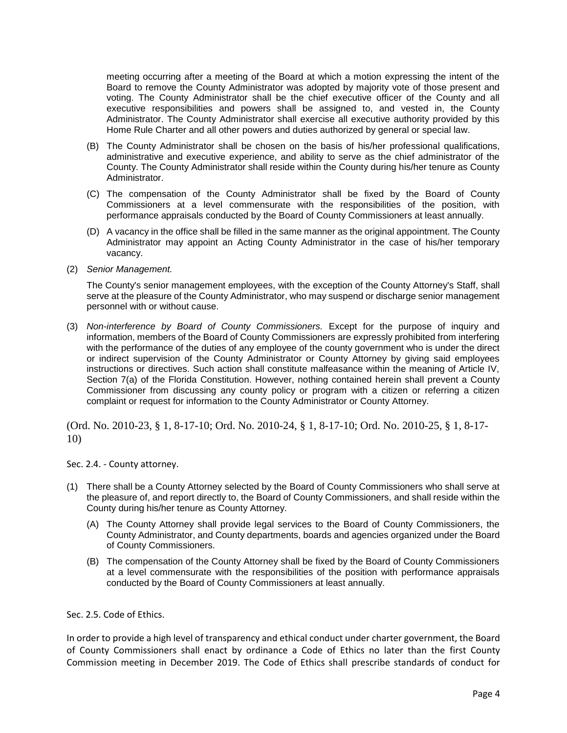meeting occurring after a meeting of the Board at which a motion expressing the intent of the Board to remove the County Administrator was adopted by majority vote of those present and voting. The County Administrator shall be the chief executive officer of the County and all executive responsibilities and powers shall be assigned to, and vested in, the County Administrator. The County Administrator shall exercise all executive authority provided by this Home Rule Charter and all other powers and duties authorized by general or special law.

- (B) The County Administrator shall be chosen on the basis of his/her professional qualifications, administrative and executive experience, and ability to serve as the chief administrator of the County. The County Administrator shall reside within the County during his/her tenure as County Administrator.
- (C) The compensation of the County Administrator shall be fixed by the Board of County Commissioners at a level commensurate with the responsibilities of the position, with performance appraisals conducted by the Board of County Commissioners at least annually.
- (D) A vacancy in the office shall be filled in the same manner as the original appointment. The County Administrator may appoint an Acting County Administrator in the case of his/her temporary vacancy.
- (2) *Senior Management.*

The County's senior management employees, with the exception of the County Attorney's Staff, shall serve at the pleasure of the County Administrator, who may suspend or discharge senior management personnel with or without cause.

(3) *Non-interference by Board of County Commissioners.* Except for the purpose of inquiry and information, members of the Board of County Commissioners are expressly prohibited from interfering with the performance of the duties of any employee of the county government who is under the direct or indirect supervision of the County Administrator or County Attorney by giving said employees instructions or directives. Such action shall constitute malfeasance within the meaning of Article IV, Section 7(a) of the Florida Constitution. However, nothing contained herein shall prevent a County Commissioner from discussing any county policy or program with a citizen or referring a citizen complaint or request for information to the County Administrator or County Attorney.

(Ord. No. 2010-23, § 1, 8-17-10; Ord. No. 2010-24, § 1, 8-17-10; Ord. No. 2010-25, § 1, 8-17- 10)

Sec. 2.4. - County attorney.

- (1) There shall be a County Attorney selected by the Board of County Commissioners who shall serve at the pleasure of, and report directly to, the Board of County Commissioners, and shall reside within the County during his/her tenure as County Attorney.
	- (A) The County Attorney shall provide legal services to the Board of County Commissioners, the County Administrator, and County departments, boards and agencies organized under the Board of County Commissioners.
	- (B) The compensation of the County Attorney shall be fixed by the Board of County Commissioners at a level commensurate with the responsibilities of the position with performance appraisals conducted by the Board of County Commissioners at least annually.

Sec. 2.5. Code of Ethics.

In order to provide a high level of transparency and ethical conduct under charter government, the Board of County Commissioners shall enact by ordinance a Code of Ethics no later than the first County Commission meeting in December 2019. The Code of Ethics shall prescribe standards of conduct for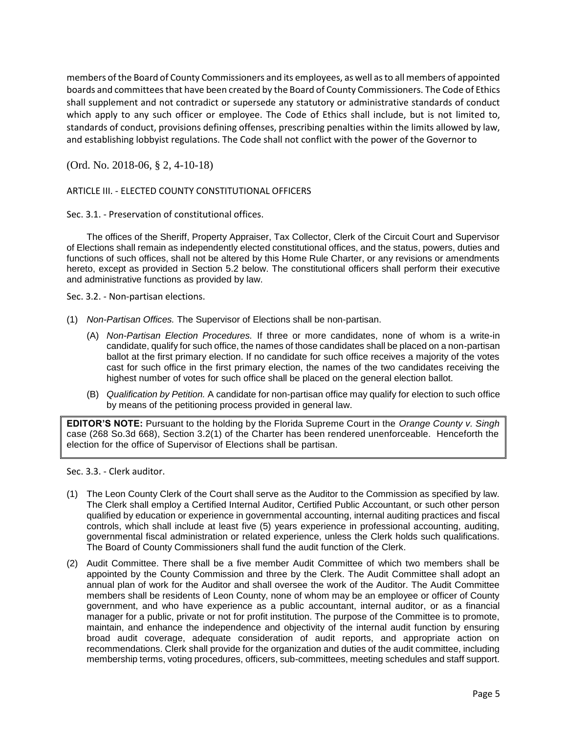members of the Board of County Commissioners and its employees, as well as to all members of appointed boards and committees that have been created by the Board of County Commissioners. The Code of Ethics shall supplement and not contradict or supersede any statutory or administrative standards of conduct which apply to any such officer or employee. The Code of Ethics shall include, but is not limited to, standards of conduct, provisions defining offenses, prescribing penalties within the limits allowed by law, and establishing lobbyist regulations. The Code shall not conflict with the power of the Governor to

(Ord. No. 2018-06, § 2, 4-10-18)

ARTICLE III. - ELECTED COUNTY CONSTITUTIONAL OFFICERS

Sec. 3.1. - Preservation of constitutional offices.

The offices of the Sheriff, Property Appraiser, Tax Collector, Clerk of the Circuit Court and Supervisor of Elections shall remain as independently elected constitutional offices, and the status, powers, duties and functions of such offices, shall not be altered by this Home Rule Charter, or any revisions or amendments hereto, except as provided in Section 5.2 below. The constitutional officers shall perform their executive and administrative functions as provided by law.

Sec. 3.2. - Non-partisan elections.

- (1) *Non-Partisan Offices.* The Supervisor of Elections shall be non-partisan.
	- (A) *Non-Partisan Election Procedures.* If three or more candidates, none of whom is a write-in candidate, qualify for such office, the names of those candidates shall be placed on a non-partisan ballot at the first primary election. If no candidate for such office receives a majority of the votes cast for such office in the first primary election, the names of the two candidates receiving the highest number of votes for such office shall be placed on the general election ballot.
	- (B) *Qualification by Petition.* A candidate for non-partisan office may qualify for election to such office by means of the petitioning process provided in general law.

**EDITOR'S NOTE:** Pursuant to the holding by the Florida Supreme Court in the *Orange County v. Singh* case (268 So.3d 668), Section 3.2(1) of the Charter has been rendered unenforceable. Henceforth the election for the office of Supervisor of Elections shall be partisan.

Sec. 3.3. - Clerk auditor.

- (1) The Leon County Clerk of the Court shall serve as the Auditor to the Commission as specified by law. The Clerk shall employ a Certified Internal Auditor, Certified Public Accountant, or such other person qualified by education or experience in governmental accounting, internal auditing practices and fiscal controls, which shall include at least five (5) years experience in professional accounting, auditing, governmental fiscal administration or related experience, unless the Clerk holds such qualifications. The Board of County Commissioners shall fund the audit function of the Clerk.
- (2) Audit Committee. There shall be a five member Audit Committee of which two members shall be appointed by the County Commission and three by the Clerk. The Audit Committee shall adopt an annual plan of work for the Auditor and shall oversee the work of the Auditor. The Audit Committee members shall be residents of Leon County, none of whom may be an employee or officer of County government, and who have experience as a public accountant, internal auditor, or as a financial manager for a public, private or not for profit institution. The purpose of the Committee is to promote, maintain, and enhance the independence and objectivity of the internal audit function by ensuring broad audit coverage, adequate consideration of audit reports, and appropriate action on recommendations. Clerk shall provide for the organization and duties of the audit committee, including membership terms, voting procedures, officers, sub-committees, meeting schedules and staff support.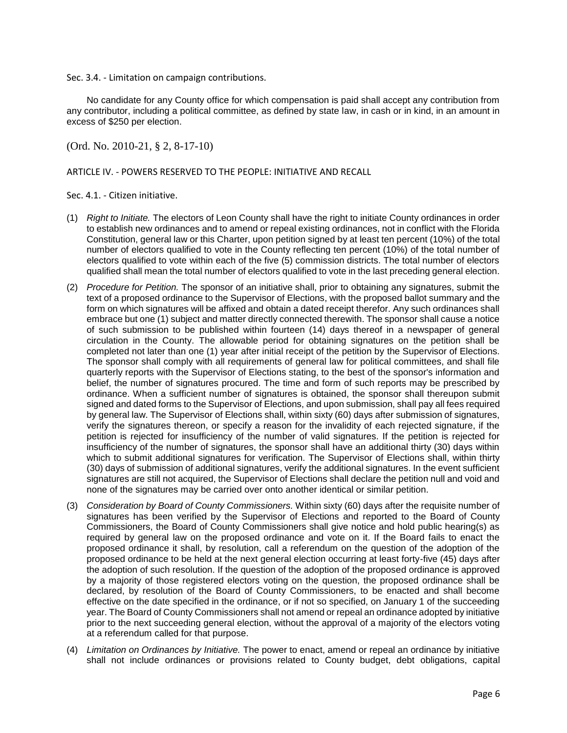Sec. 3.4. - Limitation on campaign contributions.

No candidate for any County office for which compensation is paid shall accept any contribution from any contributor, including a political committee, as defined by state law, in cash or in kind, in an amount in excess of \$250 per election.

(Ord. No. 2010-21, § 2, 8-17-10)

## ARTICLE IV. - POWERS RESERVED TO THE PEOPLE: INITIATIVE AND RECALL

Sec. 4.1. - Citizen initiative.

- (1) *Right to Initiate.* The electors of Leon County shall have the right to initiate County ordinances in order to establish new ordinances and to amend or repeal existing ordinances, not in conflict with the Florida Constitution, general law or this Charter, upon petition signed by at least ten percent (10%) of the total number of electors qualified to vote in the County reflecting ten percent (10%) of the total number of electors qualified to vote within each of the five (5) commission districts. The total number of electors qualified shall mean the total number of electors qualified to vote in the last preceding general election.
- (2) *Procedure for Petition.* The sponsor of an initiative shall, prior to obtaining any signatures, submit the text of a proposed ordinance to the Supervisor of Elections, with the proposed ballot summary and the form on which signatures will be affixed and obtain a dated receipt therefor. Any such ordinances shall embrace but one (1) subject and matter directly connected therewith. The sponsor shall cause a notice of such submission to be published within fourteen (14) days thereof in a newspaper of general circulation in the County. The allowable period for obtaining signatures on the petition shall be completed not later than one (1) year after initial receipt of the petition by the Supervisor of Elections. The sponsor shall comply with all requirements of general law for political committees, and shall file quarterly reports with the Supervisor of Elections stating, to the best of the sponsor's information and belief, the number of signatures procured. The time and form of such reports may be prescribed by ordinance. When a sufficient number of signatures is obtained, the sponsor shall thereupon submit signed and dated forms to the Supervisor of Elections, and upon submission, shall pay all fees required by general law. The Supervisor of Elections shall, within sixty (60) days after submission of signatures, verify the signatures thereon, or specify a reason for the invalidity of each rejected signature, if the petition is rejected for insufficiency of the number of valid signatures. If the petition is rejected for insufficiency of the number of signatures, the sponsor shall have an additional thirty (30) days within which to submit additional signatures for verification. The Supervisor of Elections shall, within thirty (30) days of submission of additional signatures, verify the additional signatures. In the event sufficient signatures are still not acquired, the Supervisor of Elections shall declare the petition null and void and none of the signatures may be carried over onto another identical or similar petition.
- (3) *Consideration by Board of County Commissioners.* Within sixty (60) days after the requisite number of signatures has been verified by the Supervisor of Elections and reported to the Board of County Commissioners, the Board of County Commissioners shall give notice and hold public hearing(s) as required by general law on the proposed ordinance and vote on it. If the Board fails to enact the proposed ordinance it shall, by resolution, call a referendum on the question of the adoption of the proposed ordinance to be held at the next general election occurring at least forty-five (45) days after the adoption of such resolution. If the question of the adoption of the proposed ordinance is approved by a majority of those registered electors voting on the question, the proposed ordinance shall be declared, by resolution of the Board of County Commissioners, to be enacted and shall become effective on the date specified in the ordinance, or if not so specified, on January 1 of the succeeding year. The Board of County Commissioners shall not amend or repeal an ordinance adopted by initiative prior to the next succeeding general election, without the approval of a majority of the electors voting at a referendum called for that purpose.
- (4) *Limitation on Ordinances by Initiative.* The power to enact, amend or repeal an ordinance by initiative shall not include ordinances or provisions related to County budget, debt obligations, capital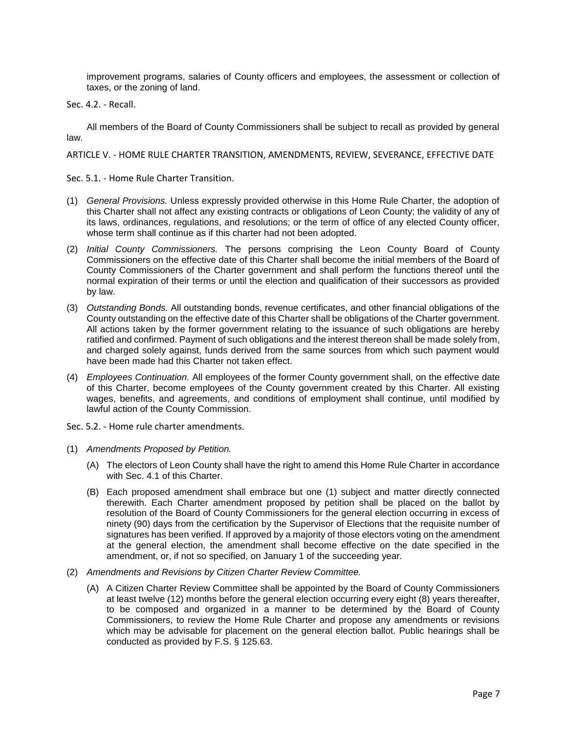improvement programs, salaries of County officers and employees, the assessment or collection of taxes, or the zoning of land.

Sec. 4.2. - Recall.

All members of the Board of County Commissioners shall be subject to recall as provided by general law.

ARTICLE V. - HOME RULE CHARTER TRANSITION, AMENDMENTS, REVIEW, SEVERANCE, EFFECTIVE DATE

- Sec. 5.1. Home Rule Charter Transition.
- (1) *General Provisions.* Unless expressly provided otherwise in this Home Rule Charter, the adoption of this Charter shall not affect any existing contracts or obligations of Leon County; the validity of any of its laws, ordinances, regulations, and resolutions; or the term of office of any elected County officer, whose term shall continue as if this charter had not been adopted.
- (2) *Initial County Commissioners.* The persons comprising the Leon County Board of County Commissioners on the effective date of this Charter shall become the initial members of the Board of County Commissioners of the Charter government and shall perform the functions thereof until the normal expiration of their terms or until the election and qualification of their successors as provided by law.
- (3) *Outstanding Bonds.* All outstanding bonds, revenue certificates, and other financial obligations of the County outstanding on the effective date of this Charter shall be obligations of the Charter government. All actions taken by the former government relating to the issuance of such obligations are hereby ratified and confirmed. Payment of such obligations and the interest thereon shall be made solely from, and charged solely against, funds derived from the same sources from which such payment would have been made had this Charter not taken effect.
- (4) *Employees Continuation.* All employees of the former County government shall, on the effective date of this Charter, become employees of the County government created by this Charter. All existing wages, benefits, and agreements, and conditions of employment shall continue, until modified by lawful action of the County Commission.
- Sec. 5.2. Home rule charter amendments.
- (1) *Amendments Proposed by Petition.*
	- (A) The electors of Leon County shall have the right to amend this Home Rule Charter in accordance with Sec. 4.1 of this Charter.
	- (B) Each proposed amendment shall embrace but one (1) subject and matter directly connected therewith. Each Charter amendment proposed by petition shall be placed on the ballot by resolution of the Board of County Commissioners for the general election occurring in excess of ninety (90) days from the certification by the Supervisor of Elections that the requisite number of signatures has been verified. If approved by a majority of those electors voting on the amendment at the general election, the amendment shall become effective on the date specified in the amendment, or, if not so specified, on January 1 of the succeeding year.
- (2) *Amendments and Revisions by Citizen Charter Review Committee.*
	- (A) A Citizen Charter Review Committee shall be appointed by the Board of County Commissioners at least twelve (12) months before the general election occurring every eight (8) years thereafter, to be composed and organized in a manner to be determined by the Board of County Commissioners, to review the Home Rule Charter and propose any amendments or revisions which may be advisable for placement on the general election ballot. Public hearings shall be conducted as provided by F.S. § 125.63.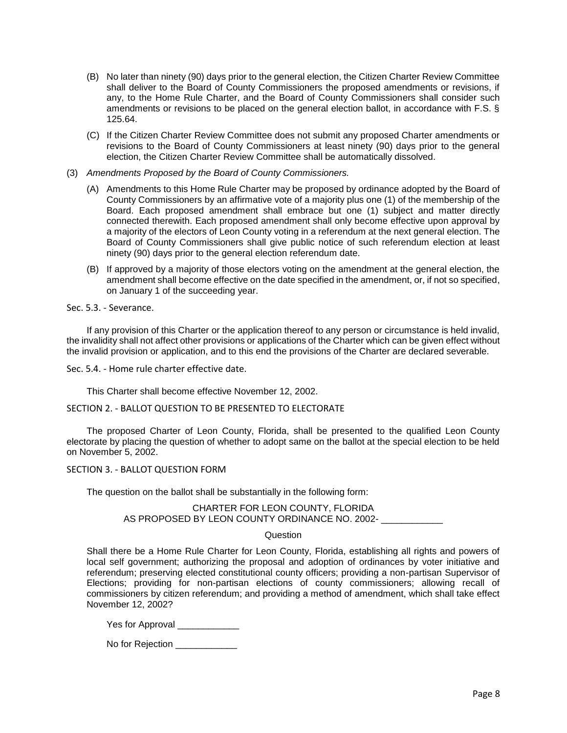- (B) No later than ninety (90) days prior to the general election, the Citizen Charter Review Committee shall deliver to the Board of County Commissioners the proposed amendments or revisions, if any, to the Home Rule Charter, and the Board of County Commissioners shall consider such amendments or revisions to be placed on the general election ballot, in accordance with F.S. § 125.64.
- (C) If the Citizen Charter Review Committee does not submit any proposed Charter amendments or revisions to the Board of County Commissioners at least ninety (90) days prior to the general election, the Citizen Charter Review Committee shall be automatically dissolved.
- (3) *Amendments Proposed by the Board of County Commissioners.*
	- (A) Amendments to this Home Rule Charter may be proposed by ordinance adopted by the Board of County Commissioners by an affirmative vote of a majority plus one (1) of the membership of the Board. Each proposed amendment shall embrace but one (1) subject and matter directly connected therewith. Each proposed amendment shall only become effective upon approval by a majority of the electors of Leon County voting in a referendum at the next general election. The Board of County Commissioners shall give public notice of such referendum election at least ninety (90) days prior to the general election referendum date.
	- (B) If approved by a majority of those electors voting on the amendment at the general election, the amendment shall become effective on the date specified in the amendment, or, if not so specified, on January 1 of the succeeding year.

Sec. 5.3. - Severance.

If any provision of this Charter or the application thereof to any person or circumstance is held invalid, the invalidity shall not affect other provisions or applications of the Charter which can be given effect without the invalid provision or application, and to this end the provisions of the Charter are declared severable.

Sec. 5.4. - Home rule charter effective date.

This Charter shall become effective November 12, 2002.

SECTION 2. - BALLOT QUESTION TO BE PRESENTED TO ELECTORATE

The proposed Charter of Leon County, Florida, shall be presented to the qualified Leon County electorate by placing the question of whether to adopt same on the ballot at the special election to be held on November 5, 2002.

#### SECTION 3. - BALLOT QUESTION FORM

The question on the ballot shall be substantially in the following form:

## CHARTER FOR LEON COUNTY, FLORIDA AS PROPOSED BY LEON COUNTY ORDINANCE NO. 2002- \_\_\_\_\_\_\_\_\_\_\_

## Question

Shall there be a Home Rule Charter for Leon County, Florida, establishing all rights and powers of local self government; authorizing the proposal and adoption of ordinances by voter initiative and referendum; preserving elected constitutional county officers; providing a non-partisan Supervisor of Elections; providing for non-partisan elections of county commissioners; allowing recall of commissioners by citizen referendum; and providing a method of amendment, which shall take effect November 12, 2002?

Yes for Approval

No for Rejection **No**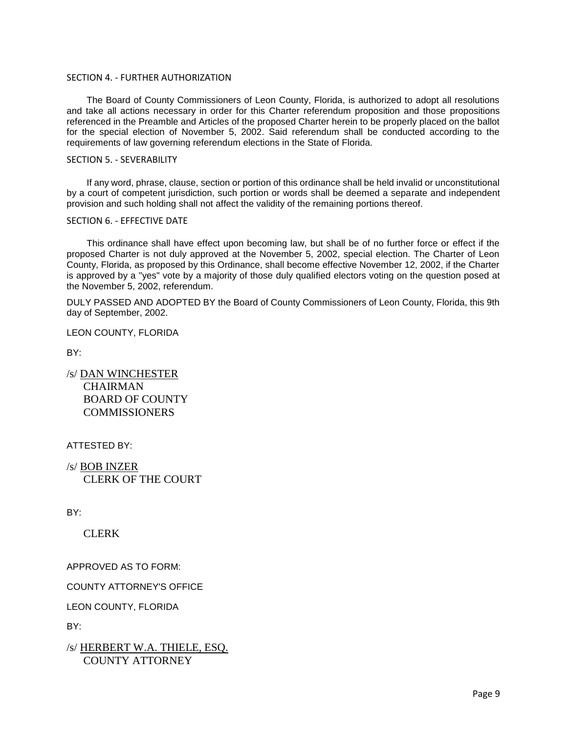## SECTION 4. - FURTHER AUTHORIZATION

The Board of County Commissioners of Leon County, Florida, is authorized to adopt all resolutions and take all actions necessary in order for this Charter referendum proposition and those propositions referenced in the Preamble and Articles of the proposed Charter herein to be properly placed on the ballot for the special election of November 5, 2002. Said referendum shall be conducted according to the requirements of law governing referendum elections in the State of Florida.

## SECTION 5. - SEVERABILITY

If any word, phrase, clause, section or portion of this ordinance shall be held invalid or unconstitutional by a court of competent jurisdiction, such portion or words shall be deemed a separate and independent provision and such holding shall not affect the validity of the remaining portions thereof.

## SECTION 6. - EFFECTIVE DATE

This ordinance shall have effect upon becoming law, but shall be of no further force or effect if the proposed Charter is not duly approved at the November 5, 2002, special election. The Charter of Leon County, Florida, as proposed by this Ordinance, shall become effective November 12, 2002, if the Charter is approved by a "yes" vote by a majority of those duly qualified electors voting on the question posed at the November 5, 2002, referendum.

DULY PASSED AND ADOPTED BY the Board of County Commissioners of Leon County, Florida, this 9th day of September, 2002.

LEON COUNTY, FLORIDA

BY:

/s/ DAN WINCHESTER **CHAIRMAN**  BOARD OF COUNTY **COMMISSIONERS** 

ATTESTED BY:

/s/ BOB INZER CLERK OF THE COURT

BY:

CLERK

APPROVED AS TO FORM:

COUNTY ATTORNEY'S OFFICE

LEON COUNTY, FLORIDA

BY:

/s/ HERBERT W.A. THIELE, ESQ. COUNTY ATTORNEY